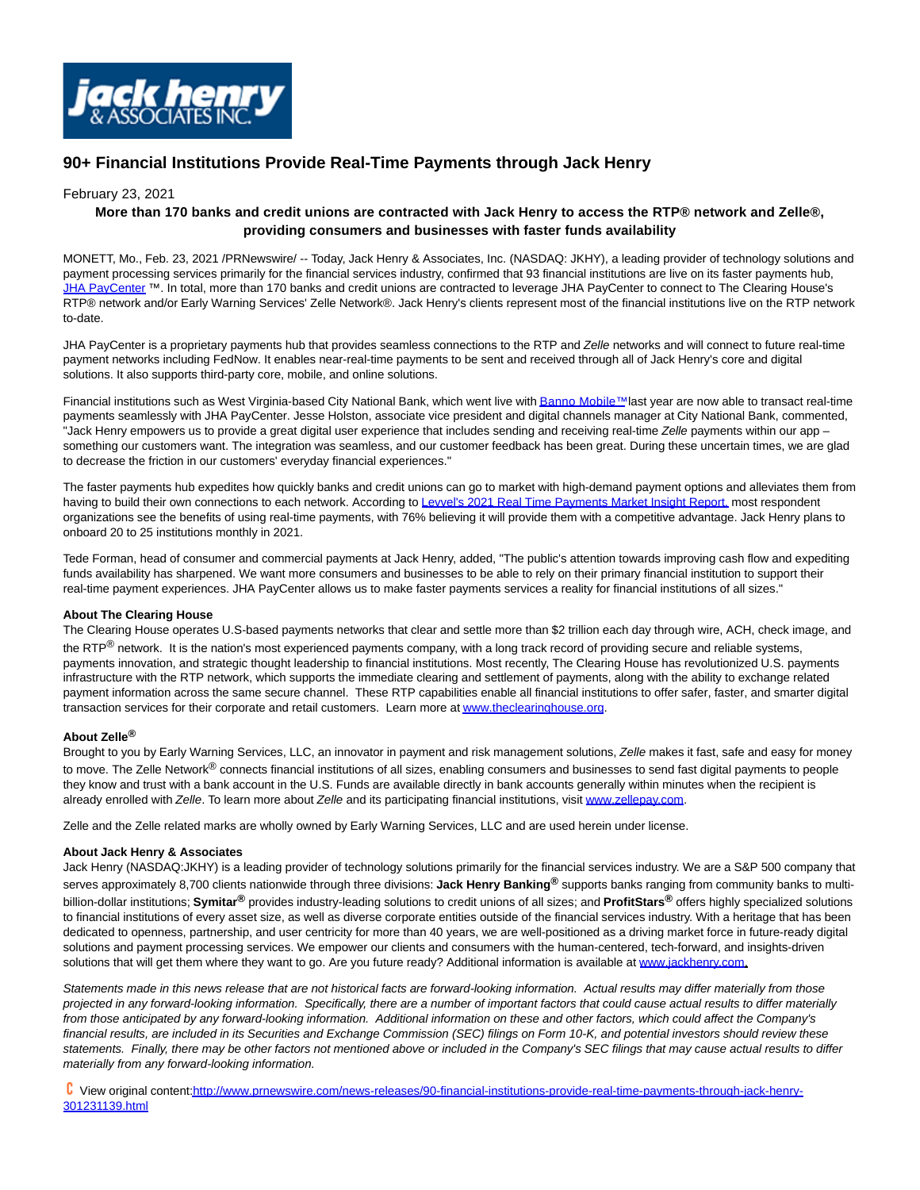

# **90+ Financial Institutions Provide Real-Time Payments through Jack Henry**

### February 23, 2021

## **More than 170 banks and credit unions are contracted with Jack Henry to access the RTP® network and Zelle®, providing consumers and businesses with faster funds availability**

MONETT, Mo., Feb. 23, 2021 /PRNewswire/ -- Today, Jack Henry & Associates, Inc. (NASDAQ: JKHY), a leading provider of technology solutions and payment processing services primarily for the financial services industry, confirmed that 93 financial institutions are live on its faster payments hub, [JHA PayCenter](https://c212.net/c/link/?t=0&l=en&o=3066357-1&h=973271007&u=https%3A%2F%2Fwww.jackhenry.com%2Fjha-payment-solutions%2Fjha-paycenter%2Fpages%2Fdefault.aspx&a=JHA+PayCenter) ™. In total, more than 170 banks and credit unions are contracted to leverage JHA PayCenter to connect to The Clearing House's RTP® network and/or Early Warning Services' Zelle Network®. Jack Henry's clients represent most of the financial institutions live on the RTP network to-date.

JHA PayCenter is a proprietary payments hub that provides seamless connections to the RTP and Zelle networks and will connect to future real-time payment networks including FedNow. It enables near-real-time payments to be sent and received through all of Jack Henry's core and digital solutions. It also supports third-party core, mobile, and online solutions.

Financial institutions such as West Virginia-based City National Bank, which went live wit[h Banno Mobile™ l](https://c212.net/c/link/?t=0&l=en&o=3066357-1&h=2045611642&u=https%3A%2F%2Fbanno.com%2F&a=Banno+Mobile%E2%84%A2)ast year are now able to transact real-time payments seamlessly with JHA PayCenter. Jesse Holston, associate vice president and digital channels manager at City National Bank, commented, "Jack Henry empowers us to provide a great digital user experience that includes sending and receiving real-time Zelle payments within our app something our customers want. The integration was seamless, and our customer feedback has been great. During these uncertain times, we are glad to decrease the friction in our customers' everyday financial experiences."

The faster payments hub expedites how quickly banks and credit unions can go to market with high-demand payment options and alleviates them from having to build their own connections to each network. According to [Levvel's 2021 Real Time Payments Market Insight Report, m](https://c212.net/c/link/?t=0&l=en&o=3066357-1&h=1396848745&u=https%3A%2F%2Fwww.levvel.io%2Fresource-library%2F2021-real-time-payments-market-insight-report&a=Levvel%27s+2021+Real+Time+Payments+Market+Insight+Report%2C)ost respondent organizations see the benefits of using real-time payments, with 76% believing it will provide them with a competitive advantage. Jack Henry plans to onboard 20 to 25 institutions monthly in 2021.

Tede Forman, head of consumer and commercial payments at Jack Henry, added, "The public's attention towards improving cash flow and expediting funds availability has sharpened. We want more consumers and businesses to be able to rely on their primary financial institution to support their real-time payment experiences. JHA PayCenter allows us to make faster payments services a reality for financial institutions of all sizes."

#### **About The Clearing House**

The Clearing House operates U.S-based payments networks that clear and settle more than \$2 trillion each day through wire, ACH, check image, and the RTP<sup>®</sup> network. It is the nation's most experienced payments company, with a long track record of providing secure and reliable systems, payments innovation, and strategic thought leadership to financial institutions. Most recently, The Clearing House has revolutionized U.S. payments infrastructure with the RTP network, which supports the immediate clearing and settlement of payments, along with the ability to exchange related payment information across the same secure channel. These RTP capabilities enable all financial institutions to offer safer, faster, and smarter digital transaction services for their corporate and retail customers. Learn more a[t www.theclearinghouse.org.](https://c212.net/c/link/?t=0&l=en&o=3066357-1&h=483023725&u=https%3A%2F%2Fwww.theclearinghouse.org%2F&a=www.theclearinghouse.org)

#### **About Zelle®**

Brought to you by Early Warning Services, LLC, an innovator in payment and risk management solutions, Zelle makes it fast, safe and easy for money to move. The Zelle Network<sup>®</sup> connects financial institutions of all sizes, enabling consumers and businesses to send fast digital payments to people they know and trust with a bank account in the U.S. Funds are available directly in bank accounts generally within minutes when the recipient is already enrolled with Zelle. To learn more about Zelle and its participating financial institutions, visit [www.zellepay.com.](https://c212.net/c/link/?t=0&l=en&o=3066357-1&h=2690449806&u=http%3A%2F%2Fwww.zellepay.com%2F&a=www.zellepay.com)

Zelle and the Zelle related marks are wholly owned by Early Warning Services, LLC and are used herein under license.

#### **About Jack Henry & Associates**

Jack Henry (NASDAQ:JKHY) is a leading provider of technology solutions primarily for the financial services industry. We are a S&P 500 company that serves approximately 8,700 clients nationwide through three divisions: **Jack Henry Banking®** supports banks ranging from community banks to multibillion-dollar institutions; **Symitar®** provides industry-leading solutions to credit unions of all sizes; and **ProfitStars®** offers highly specialized solutions to financial institutions of every asset size, as well as diverse corporate entities outside of the financial services industry. With a heritage that has been dedicated to openness, partnership, and user centricity for more than 40 years, we are well-positioned as a driving market force in future-ready digital solutions and payment processing services. We empower our clients and consumers with the human-centered, tech-forward, and insights-driven solutions that will get them where they want to go. Are you future ready? Additional information is available at [www.jackhenry.com.](https://c212.net/c/link/?t=0&l=en&o=3066357-1&h=3727141126&u=http%3A%2F%2Fwww.jackhenry.com%2F&a=www.jackhenry.com)

Statements made in this news release that are not historical facts are forward-looking information. Actual results may differ materially from those projected in any forward-looking information. Specifically, there are a number of important factors that could cause actual results to differ materially from those anticipated by any forward-looking information. Additional information on these and other factors, which could affect the Company's financial results, are included in its Securities and Exchange Commission (SEC) filings on Form 10-K, and potential investors should review these statements. Finally, there may be other factors not mentioned above or included in the Company's SEC filings that may cause actual results to differ materially from any forward-looking information.

 View original conten[t:http://www.prnewswire.com/news-releases/90-financial-institutions-provide-real-time-payments-through-jack-henry-](http://www.prnewswire.com/news-releases/90-financial-institutions-provide-real-time-payments-through-jack-henry-301231139.html)301231139.html